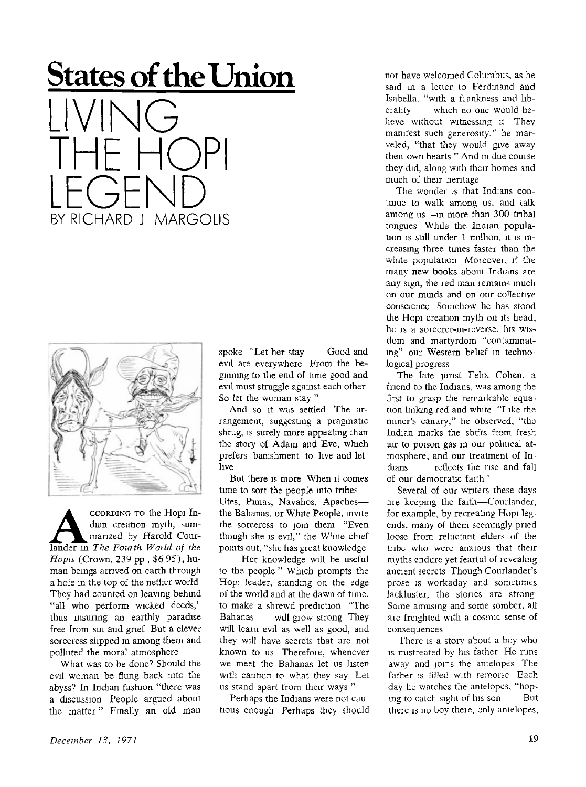## **States of the Union**

LIVING THE HOPI LEGEND BY RICHARD J MARGOLIS



CORDING TO the Hopi In-<br>dian creation myth, sum-<br>marized by Harold Cour-<br>lander in *The Fouith World of the* **CCORDING TO** the Hop i Indian creation myth, summarized by Harold Cour-*Hopis* (Crown, 239 pp , \$6 95), human bemgs arrived on earth through a hole in the top of the nether world They had counted on leaving behind "all who perform wicked deeds," thus insuring an earthly paradise free from sin and grief But a clever sorceress slipped m among them and polluted the moral atmosphere

What was to be done? Should the evil woman be flung back into the abyss<sup>9</sup> In Indian fashion "there was a discussion People argued about the matter" Finally an old man

spoke "Let her stay Good and evil are everywhere From the beginning to the end of time good and evil must struggle against each other So let the woman stay "

And so it was settled The arrangement, suggesting a pragmatic shrug, is surely more appealing than the story of Adam and Eve, which prefers banishment to live-and-letlive

But there is more When it comes time to sort the people into tribes— Utes, Pimas, Navahos, Apaches the Bahanas, or White People, invite the sorceress to join them "Even though she is evil," the White chief points out, "she has great knowledge

Her knowledge will be useful to the people " Which prompts the Hopi leader, standing on the edge of the world and at the dawn of time, to make a shrewd prediction "The Bahanas will glow strong They will learn evil as well as good, and they will have secrets that are not known to us Therefoie, whenever we meet the Bahanas let us listen with caution to what they say Let us stand apart from their ways "

Perhaps the Indians were not cautious enough Perhaps they should not have welcomed Columbus, as he said in a letter to Ferdinand and Isabella, "with a fiankness and liberality which no one would believe without witnessing it They manifest such generosity," he marveled, "that they would give away then own hearts " And in due couise they did, along with their homes and much of their heritage

The wonder is that Indians continue to walk among us, and talk among us—in more than 300 tribal tongues While the Indian population is still under 1 million, it is increasing three times faster than the white population Moreover, if the many new books about Indians are any sign, the red man remains much on our minds and on our collective conscience Somehow he has stood the Hopi creation myth on its head, he is a sorcerer-m-reverse, his wisdom and martyrdom "contaminating" our Western belief m technological progress

The late jurist Felix Cohen, a friend to the Indians, was among the first to grasp the remarkable equation linking red and white "Like the miner's canary," he observed, "the Indian marks the shifts from fresh air to poison gas in our political atmosphere, and our treatment of Indians reflects the rise and fall of our democratic faith '

Several of our writers these days are keeping the faith—Courlander, for example, by recreating Hopi legends, many of them seemingly pried loose from reluctant elders of the tribe who were anxious that their myths endure yet fearful of revealing ancient secrets Though Courlander's prose is workaday and sometimes lackluster, the stories are strong Some amusing and some somber, all are freighted with a cosmic sense of consequences

There is a story about a boy who is mistreated by his father He runs away and joins the antelopes The father is filled with remorse Each day he watches the antelopes, "hoping to catch sight of his son But theie is no boy theie, only antelopes,